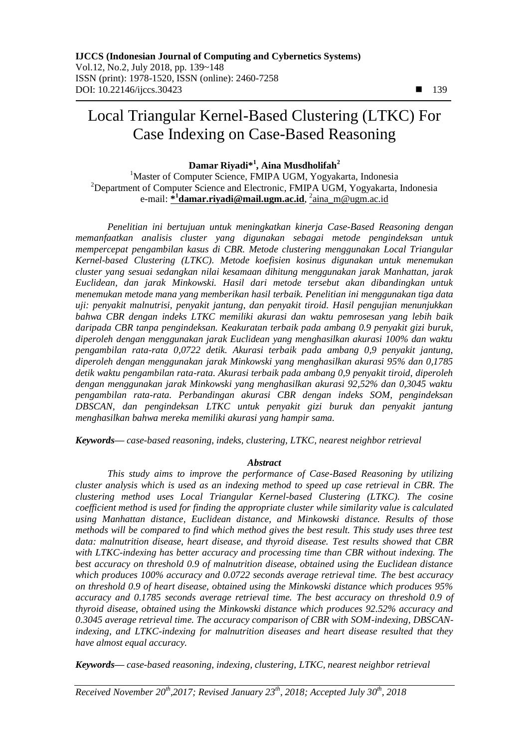# Local Triangular Kernel-Based Clustering (LTKC) For Case Indexing on Case-Based Reasoning

# **Damar Riyadi\* 1 , Aina Musdholifah<sup>2</sup>**

<sup>1</sup>Master of Computer Science, FMIPA UGM, Yogyakarta, Indonesia <sup>2</sup>Department of Computer Science and Electronic, FMIPA UGM, Yogyakarta, Indonesia e-mail: **[\\*](mailto:1xxxx@xxxx.xxx) 1 damar.riyadi@mail.ugm.ac.id**, 2 aina\_m@ugm.ac.id

*Penelitian ini bertujuan untuk meningkatkan kinerja Case-Based Reasoning dengan memanfaatkan analisis cluster yang digunakan sebagai metode pengindeksan untuk mempercepat pengambilan kasus di CBR. Metode clustering menggunakan Local Triangular Kernel-based Clustering (LTKC). Metode koefisien kosinus digunakan untuk menemukan cluster yang sesuai sedangkan nilai kesamaan dihitung menggunakan jarak Manhattan, jarak Euclidean, dan jarak Minkowski. Hasil dari metode tersebut akan dibandingkan untuk menemukan metode mana yang memberikan hasil terbaik. Penelitian ini menggunakan tiga data uji: penyakit malnutrisi, penyakit jantung, dan penyakit tiroid. Hasil pengujian menunjukkan bahwa CBR dengan indeks LTKC memiliki akurasi dan waktu pemrosesan yang lebih baik daripada CBR tanpa pengindeksan. Keakuratan terbaik pada ambang 0.9 penyakit gizi buruk, diperoleh dengan menggunakan jarak Euclidean yang menghasilkan akurasi 100% dan waktu pengambilan rata-rata 0,0722 detik. Akurasi terbaik pada ambang 0,9 penyakit jantung, diperoleh dengan menggunakan jarak Minkowski yang menghasilkan akurasi 95% dan 0,1785 detik waktu pengambilan rata-rata. Akurasi terbaik pada ambang 0,9 penyakit tiroid, diperoleh dengan menggunakan jarak Minkowski yang menghasilkan akurasi 92,52% dan 0,3045 waktu pengambilan rata-rata. Perbandingan akurasi CBR dengan indeks SOM, pengindeksan DBSCAN, dan pengindeksan LTKC untuk penyakit gizi buruk dan penyakit jantung menghasilkan bahwa mereka memiliki akurasi yang hampir sama.*

*Keywords— case-based reasoning, indeks, clustering, LTKC, nearest neighbor retrieval*

## *Abstract*

*This study aims to improve the performance of Case-Based Reasoning by utilizing cluster analysis which is used as an indexing method to speed up case retrieval in CBR. The clustering method uses Local Triangular Kernel-based Clustering (LTKC). The cosine coefficient method is used for finding the appropriate cluster while similarity value is calculated using Manhattan distance, Euclidean distance, and Minkowski distance. Results of those methods will be compared to find which method gives the best result. This study uses three test data: malnutrition disease, heart disease, and thyroid disease. Test results showed that CBR with LTKC-indexing has better accuracy and processing time than CBR without indexing. The best accuracy on threshold 0.9 of malnutrition disease, obtained using the Euclidean distance which produces 100% accuracy and 0.0722 seconds average retrieval time. The best accuracy on threshold 0.9 of heart disease, obtained using the Minkowski distance which produces 95% accuracy and 0.1785 seconds average retrieval time. The best accuracy on threshold 0.9 of thyroid disease, obtained using the Minkowski distance which produces 92.52% accuracy and 0.3045 average retrieval time. The accuracy comparison of CBR with SOM-indexing, DBSCANindexing, and LTKC-indexing for malnutrition diseases and heart disease resulted that they have almost equal accuracy.*

*Keywords— case-based reasoning, indexing, clustering, LTKC, nearest neighbor retrieval*

*Received November 20th,2017; Revised January 23th, 2018; Accepted July 30th, 2018*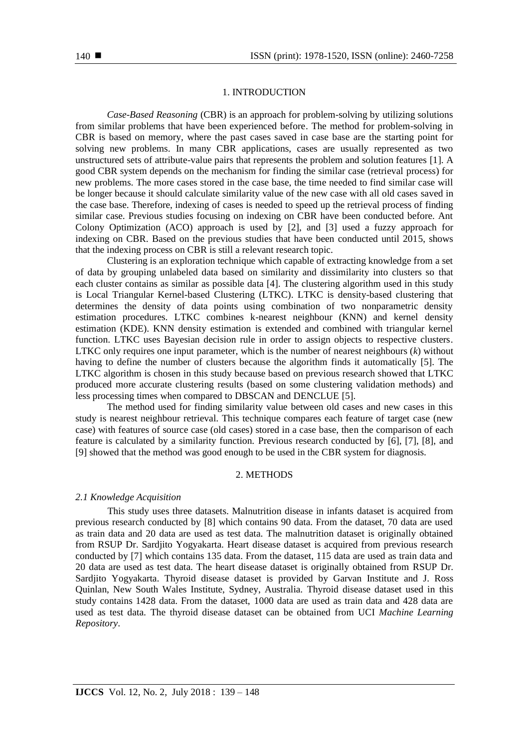## 1. INTRODUCTION

*Case-Based Reasoning* (CBR) is an approach for problem-solving by utilizing solutions from similar problems that have been experienced before. The method for problem-solving in CBR is based on memory, where the past cases saved in case base are the starting point for solving new problems. In many CBR applications, cases are usually represented as two unstructured sets of attribute-value pairs that represents the problem and solution features [1]. A good CBR system depends on the mechanism for finding the similar case (retrieval process) for new problems. The more cases stored in the case base, the time needed to find similar case will be longer because it should calculate similarity value of the new case with all old cases saved in the case base. Therefore, indexing of cases is needed to speed up the retrieval process of finding similar case. Previous studies focusing on indexing on CBR have been conducted before. Ant Colony Optimization (ACO) approach is used by [2], and [3] used a fuzzy approach for indexing on CBR. Based on the previous studies that have been conducted until 2015, shows that the indexing process on CBR is still a relevant research topic.

Clustering is an exploration technique which capable of extracting knowledge from a set of data by grouping unlabeled data based on similarity and dissimilarity into clusters so that each cluster contains as similar as possible data [4]. The clustering algorithm used in this study is Local Triangular Kernel-based Clustering (LTKC). LTKC is density-based clustering that determines the density of data points using combination of two nonparametric density estimation procedures. LTKC combines k-nearest neighbour (KNN) and kernel density estimation (KDE). KNN density estimation is extended and combined with triangular kernel function. LTKC uses Bayesian decision rule in order to assign objects to respective clusters. LTKC only requires one input parameter, which is the number of nearest neighbours (*k*) without having to define the number of clusters because the algorithm finds it automatically [5]. The LTKC algorithm is chosen in this study because based on previous research showed that LTKC produced more accurate clustering results (based on some clustering validation methods) and less processing times when compared to DBSCAN and DENCLUE [5].

The method used for finding similarity value between old cases and new cases in this study is nearest neighbour retrieval. This technique compares each feature of target case (new case) with features of source case (old cases) stored in a case base, then the comparison of each feature is calculated by a similarity function. Previous research conducted by [6], [7], [8], and [9] showed that the method was good enough to be used in the CBR system for diagnosis.

# 2. METHODS

## *2.1 Knowledge Acquisition*

This study uses three datasets. Malnutrition disease in infants dataset is acquired from previous research conducted by [8] which contains 90 data. From the dataset, 70 data are used as train data and 20 data are used as test data. The malnutrition dataset is originally obtained from RSUP Dr. Sardjito Yogyakarta. Heart disease dataset is acquired from previous research conducted by [7] which contains 135 data. From the dataset, 115 data are used as train data and 20 data are used as test data. The heart disease dataset is originally obtained from RSUP Dr. Sardjito Yogyakarta. Thyroid disease dataset is provided by Garvan Institute and J. Ross Quinlan, New South Wales Institute, Sydney, Australia. Thyroid disease dataset used in this study contains 1428 data. From the dataset, 1000 data are used as train data and 428 data are used as test data. The thyroid disease dataset can be obtained from UCI *Machine Learning Repository*.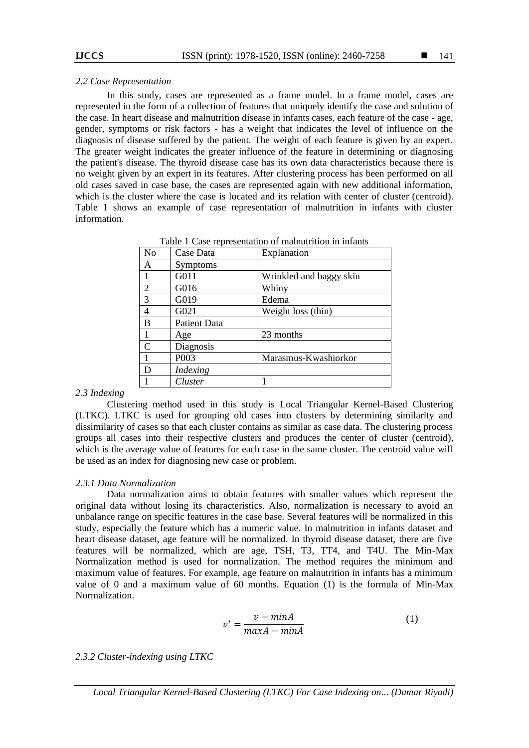## *2.2 Case Representation*

In this study, cases are represented as a frame model. In a frame model, cases are represented in the form of a collection of features that uniquely identify the case and solution of the case. In heart disease and malnutrition disease in infants cases, each feature of the case - age, gender, symptoms or risk factors - has a weight that indicates the level of influence on the diagnosis of disease suffered by the patient. The weight of each feature is given by an expert. The greater weight indicates the greater influence of the feature in determining or diagnosing the patient's disease. The thyroid disease case has its own data characteristics because there is no weight given by an expert in its features. After clustering process has been performed on all old cases saved in case base, the cases are represented again with new additional information, which is the cluster where the case is located and its relation with center of cluster (centroid). Table 1 shows an example of case representation of malnutrition in infants with cluster information.

| N <sub>o</sub> | Case Data       | Table 1 Case representation of mamatheum in imality<br>Explanation |
|----------------|-----------------|--------------------------------------------------------------------|
| Α              | Symptoms        |                                                                    |
| -1             | G011            | Wrinkled and baggy skin                                            |
| 2              | G016            | Whiny                                                              |
| $\overline{3}$ | G019            | Edema                                                              |
| $\overline{4}$ | G021            | Weight loss (thin)                                                 |
| B              | Patient Data    |                                                                    |
| $\overline{1}$ | Age             | 23 months                                                          |
| $\mathcal{C}$  | Diagnosis       |                                                                    |
|                | P003            | Marasmus-Kwashiorkor                                               |
| D              | <i>Indexing</i> |                                                                    |
|                | Cluster         |                                                                    |

Table 1 Case representation of malnutrition in infants

# *2.3 Indexing*

Clustering method used in this study is Local Triangular Kernel-Based Clustering (LTKC). LTKC is used for grouping old cases into clusters by determining similarity and dissimilarity of cases so that each cluster contains as similar as case data. The clustering process groups all cases into their respective clusters and produces the center of cluster (centroid), which is the average value of features for each case in the same cluster. The centroid value will be used as an index for diagnosing new case or problem.

# *2.3.1 Data Normalization*

Data normalization aims to obtain features with smaller values which represent the original data without losing its characteristics. Also, normalization is necessary to avoid an unbalance range on specific features in the case base. Several features will be normalized in this study, especially the feature which has a numeric value. In malnutrition in infants dataset and heart disease dataset, age feature will be normalized. In thyroid disease dataset, there are five features will be normalized, which are age, TSH, T3, TT4, and T4U. The Min-Max Normalization method is used for normalization. The method requires the minimum and maximum value of features. For example, age feature on malnutrition in infants has a minimum value of 0 and a maximum value of 60 months. Equation (1) is the formula of Min-Max Normalization.

$$
v' = \frac{v - minA}{maxA - minA}
$$
 (1)

# *2.3.2 Cluster-indexing using LTKC*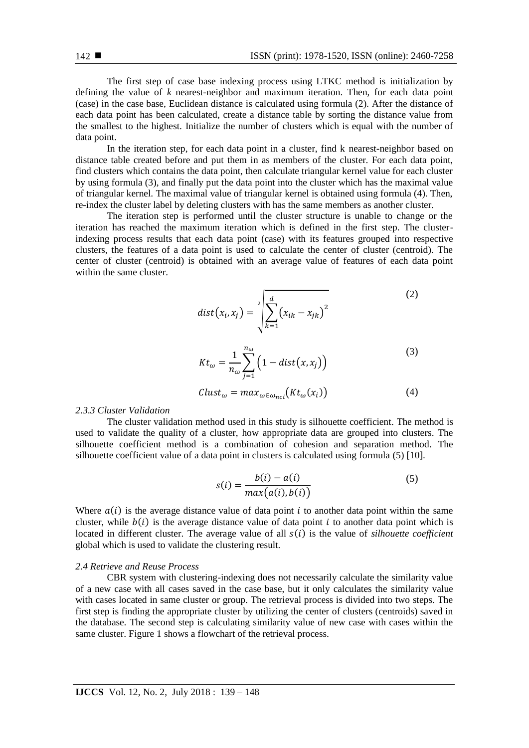The first step of case base indexing process using LTKC method is initialization by defining the value of *k* nearest-neighbor and maximum iteration. Then, for each data point (case) in the case base, Euclidean distance is calculated using formula (2). After the distance of each data point has been calculated, create a distance table by sorting the distance value from the smallest to the highest. Initialize the number of clusters which is equal with the number of data point.

In the iteration step, for each data point in a cluster, find k nearest-neighbor based on distance table created before and put them in as members of the cluster. For each data point, find clusters which contains the data point, then calculate triangular kernel value for each cluster by using formula (3), and finally put the data point into the cluster which has the maximal value of triangular kernel. The maximal value of triangular kernel is obtained using formula (4). Then, re-index the cluster label by deleting clusters with has the same members as another cluster.

The iteration step is performed until the cluster structure is unable to change or the iteration has reached the maximum iteration which is defined in the first step. The clusterindexing process results that each data point (case) with its features grouped into respective clusters, the features of a data point is used to calculate the center of cluster (centroid). The center of cluster (centroid) is obtained with an average value of features of each data point within the same cluster.

$$
dist(x_i, x_j) = \sqrt[2]{\sum_{k=1}^d (x_{ik} - x_{jk})^2}
$$
\n
$$
Kt_{\omega} = \frac{1}{n_{\omega}} \sum_{j=1}^{n_{\omega}} \left(1 - dist(x, x_j)\right)
$$
\n(3)

$$
Clust_{\omega} = max_{\omega \in \omega_{nci}} (Kt_{\omega}(x_i))
$$
\n(4)

### *2.3.3 Cluster Validation*

The cluster validation method used in this study is silhouette coefficient. The method is used to validate the quality of a cluster, how appropriate data are grouped into clusters. The silhouette coefficient method is a combination of cohesion and separation method. The silhouette coefficient value of a data point in clusters is calculated using formula (5) [10].

$$
s(i) = \frac{b(i) - a(i)}{\max(a(i), b(i))}
$$
\n<sup>(5)</sup>

Where  $a(i)$  is the average distance value of data point i to another data point within the same cluster, while  $b(i)$  is the average distance value of data point i to another data point which is located in different cluster. The average value of all  $s(i)$  is the value of *silhouette coefficient* global which is used to validate the clustering result.

## *2.4 Retrieve and Reuse Process*

CBR system with clustering-indexing does not necessarily calculate the similarity value of a new case with all cases saved in the case base, but it only calculates the similarity value with cases located in same cluster or group. The retrieval process is divided into two steps. The first step is finding the appropriate cluster by utilizing the center of clusters (centroids) saved in the database. The second step is calculating similarity value of new case with cases within the same cluster. Figure 1 shows a flowchart of the retrieval process.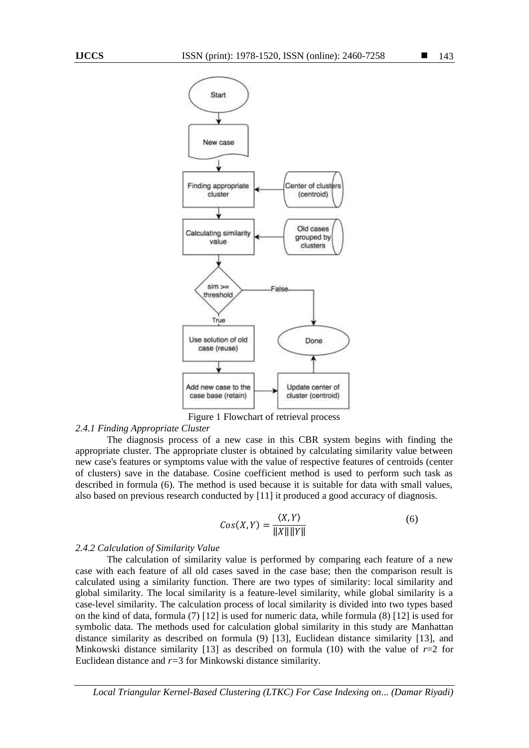

Figure 1 Flowchart of retrieval process

#### *2.4.1 Finding Appropriate Cluster*

The diagnosis process of a new case in this CBR system begins with finding the appropriate cluster. The appropriate cluster is obtained by calculating similarity value between new case's features or symptoms value with the value of respective features of centroids (center of clusters) save in the database. Cosine coefficient method is used to perform such task as described in formula (6). The method is used because it is suitable for data with small values, also based on previous research conducted by [11] it produced a good accuracy of diagnosis.

$$
Cos(X, Y) = \frac{\langle X, Y \rangle}{\|X\| \|Y\|}
$$
(6)

#### *2.4.2 Calculation of Similarity Value*

The calculation of similarity value is performed by comparing each feature of a new case with each feature of all old cases saved in the case base; then the comparison result is calculated using a similarity function. There are two types of similarity: local similarity and global similarity. The local similarity is a feature-level similarity, while global similarity is a case-level similarity. The calculation process of local similarity is divided into two types based on the kind of data, formula (7) [12] is used for numeric data, while formula (8) [12] is used for symbolic data. The methods used for calculation global similarity in this study are Manhattan distance similarity as described on formula (9) [13], Euclidean distance similarity [13], and Minkowski distance similarity [13] as described on formula (10) with the value of  $r=2$  for Euclidean distance and *r=*3 for Minkowski distance similarity.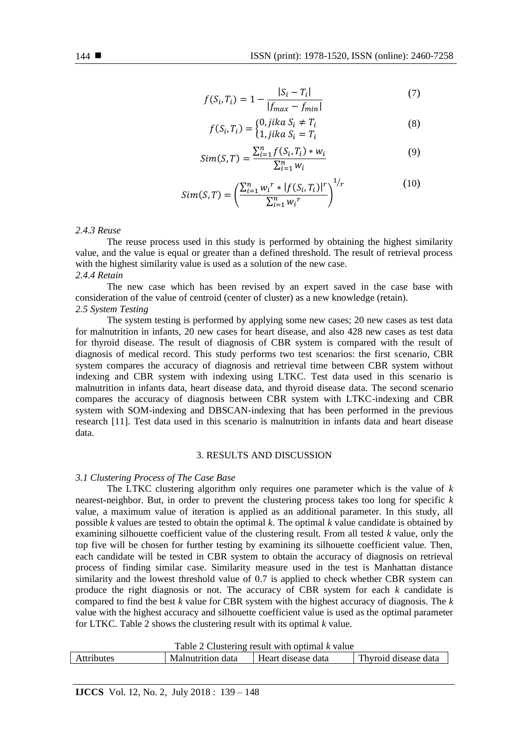$$
f(S_i, T_i) = 1 - \frac{|S_i - T_i|}{|f_{max} - f_{min}|}
$$
\n(7)

$$
f(S_i, T_i) = \begin{cases} 0, jika \ S_i \neq T_i \\ 1, jika \ S_i = T_i \end{cases}
$$
 (8)

$$
Sim(S, T) = \frac{\sum_{i=1}^{n} f(S_i, T_i) * w_i}{\sum_{i=1}^{n} w_i}
$$
\n(9)

$$
Sim(S, T) = \left(\frac{\sum_{i=1}^{n} w_i^{r} \cdot |f(S_i, T_i)|^r}{\sum_{i=1}^{n} w_i^{r}}\right)^{1/r}
$$
(10)

## *2.4.3 Reuse*

The reuse process used in this study is performed by obtaining the highest similarity value, and the value is equal or greater than a defined threshold. The result of retrieval process with the highest similarity value is used as a solution of the new case. *2.4.4 Retain*

The new case which has been revised by an expert saved in the case base with consideration of the value of centroid (center of cluster) as a new knowledge (retain). *2.5 System Testing*

The system testing is performed by applying some new cases; 20 new cases as test data for malnutrition in infants, 20 new cases for heart disease, and also 428 new cases as test data for thyroid disease. The result of diagnosis of CBR system is compared with the result of diagnosis of medical record. This study performs two test scenarios: the first scenario, CBR system compares the accuracy of diagnosis and retrieval time between CBR system without indexing and CBR system with indexing using LTKC. Test data used in this scenario is malnutrition in infants data, heart disease data, and thyroid disease data. The second scenario compares the accuracy of diagnosis between CBR system with LTKC-indexing and CBR system with SOM-indexing and DBSCAN-indexing that has been performed in the previous research [11]. Test data used in this scenario is malnutrition in infants data and heart disease data.

## 3. RESULTS AND DISCUSSION

#### *3.1 Clustering Process of The Case Base*

The LTKC clustering algorithm only requires one parameter which is the value of *k* nearest-neighbor. But, in order to prevent the clustering process takes too long for specific *k* value, a maximum value of iteration is applied as an additional parameter. In this study, all possible *k* values are tested to obtain the optimal *k*. The optimal *k* value candidate is obtained by examining silhouette coefficient value of the clustering result. From all tested *k* value, only the top five will be chosen for further testing by examining its silhouette coefficient value. Then, each candidate will be tested in CBR system to obtain the accuracy of diagnosis on retrieval process of finding similar case. Similarity measure used in the test is Manhattan distance similarity and the lowest threshold value of 0.7 is applied to check whether CBR system can produce the right diagnosis or not. The accuracy of CBR system for each *k* candidate is compared to find the best *k* value for CBR system with the highest accuracy of diagnosis. The *k* value with the highest accuracy and silhouette coefficient value is used as the optimal parameter for LTKC. Table 2 shows the clustering result with its optimal *k* value.

| Attributes | Malnutrition data | Heart disease data | Thyroid disease data |
|------------|-------------------|--------------------|----------------------|
|            |                   |                    |                      |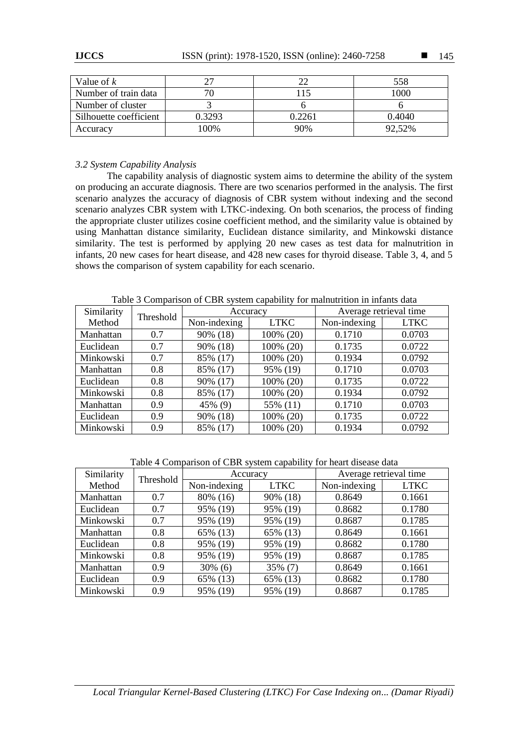| Value of $k$           |        |        | 558    |
|------------------------|--------|--------|--------|
| Number of train data   |        |        | 1000   |
| Number of cluster      |        |        |        |
| Silhouette coefficient | 0.3293 | 0.2261 | 0.4040 |
| Accuracy               | 100%   | 90%    | 92,52% |

# *3.2 System Capability Analysis*

The capability analysis of diagnostic system aims to determine the ability of the system on producing an accurate diagnosis. There are two scenarios performed in the analysis. The first scenario analyzes the accuracy of diagnosis of CBR system without indexing and the second scenario analyzes CBR system with LTKC-indexing. On both scenarios, the process of finding the appropriate cluster utilizes cosine coefficient method, and the similarity value is obtained by using Manhattan distance similarity, Euclidean distance similarity, and Minkowski distance similarity. The test is performed by applying 20 new cases as test data for malnutrition in infants, 20 new cases for heart disease, and 428 new cases for thyroid disease. Table 3, 4, and 5 shows the comparison of system capability for each scenario.

Similarity Similarity Threshold **Accuracy** Average retrieval time<br>Method **Threshold** Non-indexing LTKC Non-indexing LTKC Non-indexing Manhattan 0.7 90% (18) 100% (20) 0.1710 0.0703 Euclidean | 0.7 | 90% (18) | 100% (20) | 0.1735 | 0.0722 Minkowski 0.7 85% (17) 100% (20) 0.1934 0.0792 Manhattan | 0.8 | 85% (17) | 95% (19) | 0.1710 | 0.0703 Euclidean  $\begin{array}{|c|c|c|c|c|c|c|c|c|} \hline 0.8 & 90\% & (17) & 100\% & (20) & 0.1735 & 0.0722 \hline \end{array}$ Minkowski 0.8 85% (17) 100% (20) 0.1934 0.0792 Manhattan 0.9 45% (9) 55% (11) 0.1710 0.0703 Euclidean 0.9 90% (18) 100% (20) 0.1735 0.0722 Minkowski 0.9 85% (17) 100% (20) 0.1934 0.0792

Table 3 Comparison of CBR system capability for malnutrition in infants data

Table 4 Comparison of CBR system capability for heart disease data

| Similarity | Threshold | Accuracy     |             | Average retrieval time |             |
|------------|-----------|--------------|-------------|------------------------|-------------|
| Method     |           | Non-indexing | <b>LTKC</b> | Non-indexing           | <b>LTKC</b> |
| Manhattan  | 0.7       | 80% (16)     | 90% (18)    | 0.8649                 | 0.1661      |
| Euclidean  | 0.7       | 95% (19)     | 95% (19)    | 0.8682                 | 0.1780      |
| Minkowski  | 0.7       | 95% (19)     | 95% (19)    | 0.8687                 | 0.1785      |
| Manhattan  | 0.8       | 65% (13)     | 65% (13)    | 0.8649                 | 0.1661      |
| Euclidean  | 0.8       | 95% (19)     | 95% (19)    | 0.8682                 | 0.1780      |
| Minkowski  | 0.8       | 95% (19)     | 95% (19)    | 0.8687                 | 0.1785      |
| Manhattan  | 0.9       | $30\%$ (6)   | 35% (7)     | 0.8649                 | 0.1661      |
| Euclidean  | 0.9       | 65% (13)     | 65% (13)    | 0.8682                 | 0.1780      |
| Minkowski  | 0.9       | 95% (19)     | 95% (19)    | 0.8687                 | 0.1785      |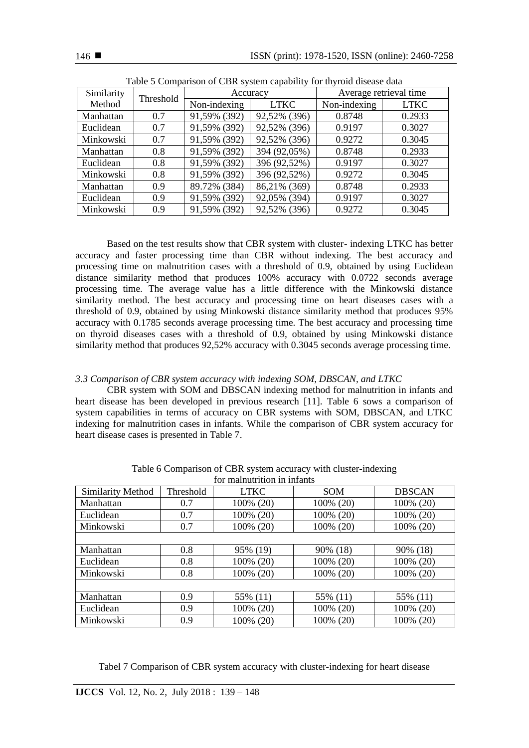| raore o comparison or cibit system eapaointy for infrome disease data |           |              |              |                        |             |
|-----------------------------------------------------------------------|-----------|--------------|--------------|------------------------|-------------|
| Similarity                                                            | Threshold | Accuracy     |              | Average retrieval time |             |
| Method                                                                |           | Non-indexing | <b>LTKC</b>  | Non-indexing           | <b>LTKC</b> |
| Manhattan                                                             | 0.7       | 91,59% (392) | 92,52% (396) | 0.8748                 | 0.2933      |
| Euclidean                                                             | 0.7       | 91,59% (392) | 92,52% (396) | 0.9197                 | 0.3027      |
| Minkowski                                                             | 0.7       | 91,59% (392) | 92,52% (396) | 0.9272                 | 0.3045      |
| Manhattan                                                             | 0.8       | 91,59% (392) | 394 (92,05%) | 0.8748                 | 0.2933      |
| Euclidean                                                             | 0.8       | 91,59% (392) | 396 (92,52%) | 0.9197                 | 0.3027      |
| Minkowski                                                             | 0.8       | 91,59% (392) | 396 (92,52%) | 0.9272                 | 0.3045      |
| Manhattan                                                             | 0.9       | 89.72% (384) | 86,21% (369) | 0.8748                 | 0.2933      |
| Euclidean                                                             | 0.9       | 91,59% (392) | 92,05% (394) | 0.9197                 | 0.3027      |
| Minkowski                                                             | 0.9       | 91,59% (392) | 92,52% (396) | 0.9272                 | 0.3045      |

Based on the test results show that CBR system with cluster- indexing LTKC has better accuracy and faster processing time than CBR without indexing. The best accuracy and processing time on malnutrition cases with a threshold of 0.9, obtained by using Euclidean distance similarity method that produces 100% accuracy with 0.0722 seconds average processing time. The average value has a little difference with the Minkowski distance similarity method. The best accuracy and processing time on heart diseases cases with a threshold of 0.9, obtained by using Minkowski distance similarity method that produces 95% accuracy with 0.1785 seconds average processing time. The best accuracy and processing time on thyroid diseases cases with a threshold of 0.9, obtained by using Minkowski distance similarity method that produces 92,52% accuracy with 0.3045 seconds average processing time.

# *3.3 Comparison of CBR system accuracy with indexing SOM, DBSCAN, and LTKC*

CBR system with SOM and DBSCAN indexing method for malnutrition in infants and heart disease has been developed in previous research [11]. Table 6 sows a comparison of system capabilities in terms of accuracy on CBR systems with SOM, DBSCAN, and LTKC indexing for malnutrition cases in infants. While the comparison of CBR system accuracy for heart disease cases is presented in Table 7.

| for malnutrition in infants |                  |             |            |               |  |
|-----------------------------|------------------|-------------|------------|---------------|--|
| Similarity Method           | <b>Threshold</b> | <b>LTKC</b> | <b>SOM</b> | <b>DBSCAN</b> |  |
| Manhattan                   | 0.7              | 100% (20)   | 100% (20)  | 100% (20)     |  |
| Euclidean                   | 0.7              | 100% (20)   | 100% (20)  | 100% (20)     |  |
| Minkowski                   | 0.7              | 100% (20)   | 100% (20)  | 100% (20)     |  |
|                             |                  |             |            |               |  |
| Manhattan                   | 0.8              | 95% (19)    | 90% (18)   | 90% (18)      |  |
| Euclidean                   | 0.8              | 100% (20)   | 100% (20)  | 100% (20)     |  |
| Minkowski                   | 0.8              | 100% (20)   | 100% (20)  | 100% (20)     |  |
|                             |                  |             |            |               |  |
| Manhattan                   | 0.9              | 55% (11)    | 55% (11)   | 55% (11)      |  |
| Euclidean                   | 0.9              | 100% (20)   | 100% (20)  | 100% (20)     |  |
| Minkowski                   | 0.9              | 100% (20)   | 100% (20)  | 100% (20)     |  |

Table 6 Comparison of CBR system accuracy with cluster-indexing

Tabel 7 Comparison of CBR system accuracy with cluster-indexing for heart disease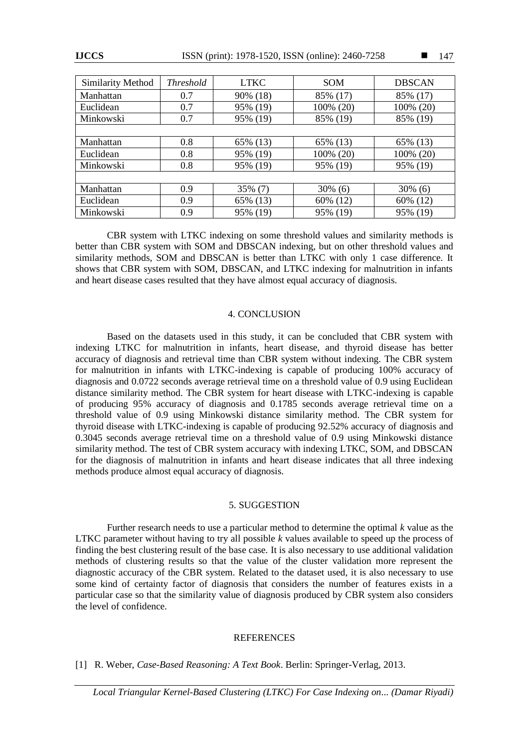| Minkowski | 0.7 | 95% (19) | 85% (19)   | 85% (19)   |
|-----------|-----|----------|------------|------------|
|           |     |          |            |            |
| Manhattan | 0.8 | 65% (13) | 65% (13)   | 65% (13)   |
| Euclidean | 0.8 | 95% (19) | 100% (20)  | 100% (20)  |
| Minkowski | 0.8 | 95% (19) | 95% (19)   | 95% (19)   |
|           |     |          |            |            |
| Manhattan | 0.9 | 35% (7)  | $30\%$ (6) | $30\%$ (6) |
| Euclidean | 0.9 | 65% (13) | 60% (12)   | 60% (12)   |
| Minkowski | 0.9 | 95% (19) | 95% (19)   | 95% (19)   |

CBR system with LTKC indexing on some threshold values and similarity methods is better than CBR system with SOM and DBSCAN indexing, but on other threshold values and similarity methods, SOM and DBSCAN is better than LTKC with only 1 case difference. It shows that CBR system with SOM, DBSCAN, and LTKC indexing for malnutrition in infants and heart disease cases resulted that they have almost equal accuracy of diagnosis.

# 4. CONCLUSION

Based on the datasets used in this study, it can be concluded that CBR system with indexing LTKC for malnutrition in infants, heart disease, and thyroid disease has better accuracy of diagnosis and retrieval time than CBR system without indexing. The CBR system for malnutrition in infants with LTKC-indexing is capable of producing 100% accuracy of diagnosis and 0.0722 seconds average retrieval time on a threshold value of 0.9 using Euclidean distance similarity method. The CBR system for heart disease with LTKC-indexing is capable of producing 95% accuracy of diagnosis and 0.1785 seconds average retrieval time on a threshold value of 0.9 using Minkowski distance similarity method. The CBR system for thyroid disease with LTKC-indexing is capable of producing 92.52% accuracy of diagnosis and 0.3045 seconds average retrieval time on a threshold value of 0.9 using Minkowski distance similarity method. The test of CBR system accuracy with indexing LTKC, SOM, and DBSCAN for the diagnosis of malnutrition in infants and heart disease indicates that all three indexing methods produce almost equal accuracy of diagnosis.

## 5. SUGGESTION

Further research needs to use a particular method to determine the optimal *k* value as the LTKC parameter without having to try all possible *k* values available to speed up the process of finding the best clustering result of the base case. It is also necessary to use additional validation methods of clustering results so that the value of the cluster validation more represent the diagnostic accuracy of the CBR system. Related to the dataset used, it is also necessary to use some kind of certainty factor of diagnosis that considers the number of features exists in a particular case so that the similarity value of diagnosis produced by CBR system also considers the level of confidence.

## **REFERENCES**

# [1] R. Weber, *Case-Based Reasoning: A Text Book*. Berlin: Springer-Verlag, 2013.

147